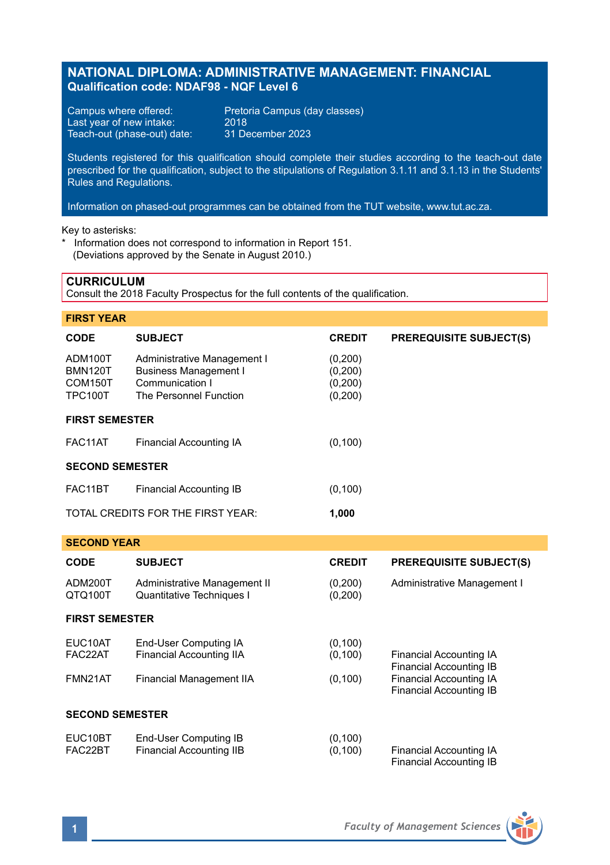# **NATIONAL DIPLOMA: ADMINISTRATIVE MANAGEMENT: FINANCIAL Qualification code: NDAF98 - NQF Level 6**

Last year of new intake: 2018<br>Teach-out (phase-out) date: 31 December 2023 Teach-out (phase-out) date:

Campus where offered: Pretoria Campus (day classes)<br>Last year of new intake: 2018

Students registered for this qualification should complete their studies according to the teach-out date prescribed for the qualification, subject to the stipulations of Regulation 3.1.11 and 3.1.13 in the Students' Rules and Regulations.

Information on phased-out programmes can be obtained from the TUT website, www.tut.ac.za.

Key to asterisks:

Information does not correspond to information in Report 151. (Deviations approved by the Senate in August 2010.)

### **CURRICULUM**

Consult the 2018 Faculty Prospectus for the full contents of the qualification.

| <b>FIRST YEAR</b>                                      |                                                                                                          |                                          |                                |  |  |
|--------------------------------------------------------|----------------------------------------------------------------------------------------------------------|------------------------------------------|--------------------------------|--|--|
| <b>CODE</b>                                            | <b>SUBJECT</b>                                                                                           | <b>CREDIT</b>                            | <b>PREREQUISITE SUBJECT(S)</b> |  |  |
| ADM100T<br><b>BMN120T</b><br>COM150T<br><b>TPC100T</b> | Administrative Management I<br><b>Business Management I</b><br>Communication I<br>The Personnel Function | (0,200)<br>(0,200)<br>(0,200)<br>(0,200) |                                |  |  |
| <b>FIRST SEMESTER</b>                                  |                                                                                                          |                                          |                                |  |  |
| FAC11AT                                                | Financial Accounting IA                                                                                  | (0, 100)                                 |                                |  |  |
| <b>SECOND SEMESTER</b>                                 |                                                                                                          |                                          |                                |  |  |
| FAC11BT                                                | Financial Accounting IB                                                                                  | (0, 100)                                 |                                |  |  |
|                                                        | TOTAL CREDITS FOR THE FIRST YEAR:                                                                        | 1,000                                    |                                |  |  |
| <b>SECOND YEAR</b>                                     |                                                                                                          |                                          |                                |  |  |
| CODE                                                   | SUR IFCT                                                                                                 | CREDIT                                   | DDEDEALIISITE SI IR IECT/SI    |  |  |

| <b>CODE</b>                   | <b>SUBJECT</b>                                                                | <b>CREDIT</b>                    | <b>PREREQUISITE SUBJECT(S)</b>                                                                           |  |  |
|-------------------------------|-------------------------------------------------------------------------------|----------------------------------|----------------------------------------------------------------------------------------------------------|--|--|
| ADM200T<br>QTQ100T            | Administrative Management II<br>Quantitative Techniques I                     | (0,200)<br>(0, 200)              | Administrative Management I                                                                              |  |  |
| <b>FIRST SEMESTER</b>         |                                                                               |                                  |                                                                                                          |  |  |
| EUC10AT<br>FAC22AT<br>FMN21AT | End-User Computing IA<br>Financial Accounting IIA<br>Financial Management IIA | (0, 100)<br>(0, 100)<br>(0, 100) | Financial Accounting IA<br>Financial Accounting IB<br>Financial Accounting IA<br>Financial Accounting IB |  |  |
| <b>SECOND SEMESTER</b>        |                                                                               |                                  |                                                                                                          |  |  |
| EUC10BT<br>FAC22BT            | End-User Computing IB<br>Financial Accounting IIB                             | (0, 100)<br>(0, 100)             | Financial Accounting IA                                                                                  |  |  |

Financial Accounting IB

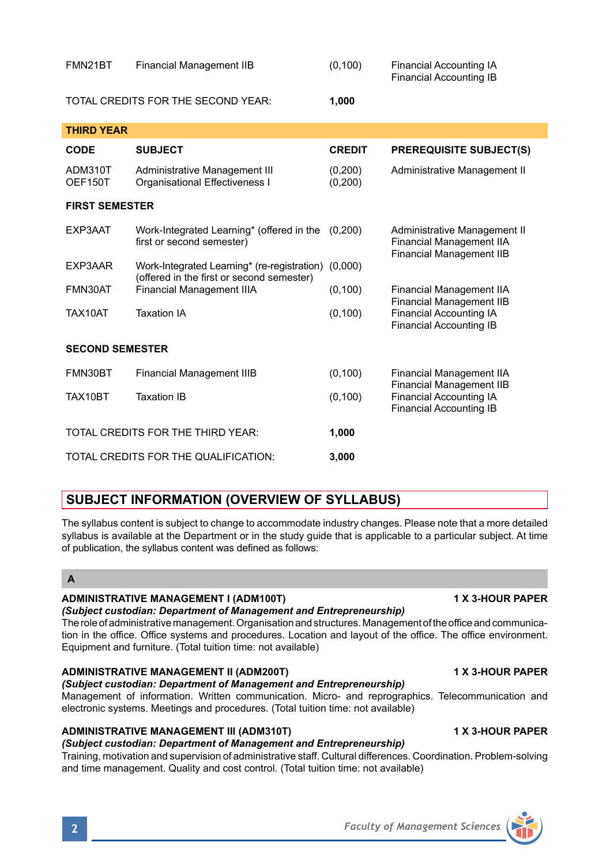**THIRD YEAR CODE SUBJECT CREDIT PREREQUISITE SUBJECT(S)** ADM310T Administrative Management III (0,200) Administrative Management II<br>OEF150T Organisational Effectiveness I (0,200) Organisational Effectiveness I **FIRST SEMESTER** EXP3AAT Work-Integrated Learning\* (offered in the (0,200) Administrative Management II<br>financial Management IIA Financial Management IIA Financial Management IIB EXP3AAR Work-Integrated Learning\* (re-registration) (0,000) (offered in the first or second semester) FMN30AT Financial Management IIIA (0,100) Financial Management IIA Financial Management IIB TAX10AT Taxation IA (0,100) Financial Accounting IA Financial Accounting IB **SECOND SEMESTER** FMN30BT Financial Management IIIB (0,100) Financial Management IIA Financial Management IIB TAX10BT Taxation IB (0,100) Financial Accounting IA Financial Accounting IB TOTAL CREDITS FOR THE THIRD YEAR: **1,000** TOTAL CREDITS FOR THE QUALIFICATION: **3,000**

FMN21BT Financial Management IIB (0,100) Financial Accounting IA

TOTAL CREDITS FOR THE SECOND YEAR: **1,000**

# **SUBJECT INFORMATION (OVERVIEW OF SYLLABUS)**

The syllabus content is subject to change to accommodate industry changes. Please note that a more detailed syllabus is available at the Department or in the study guide that is applicable to a particular subject. At time of publication, the syllabus content was defined as follows:

# **A**

# **ADMINISTRATIVE MANAGEMENT I (ADM100T) 1 X 3-HOUR PAPER**

*(Subject custodian: Department of Management and Entrepreneurship)* The role of administrative management. Organisation and structures. Management of the office and communication in the office. Office systems and procedures. Location and layout of the office. The office environment. Equipment and furniture. (Total tuition time: not available)

# **ADMINISTRATIVE MANAGEMENT II (ADM200T) 1 X 3-HOUR PAPER**

# *(Subject custodian: Department of Management and Entrepreneurship)*

Management of information. Written communication. Micro- and reprographics. Telecommunication and electronic systems. Meetings and procedures. (Total tuition time: not available)

# **ADMINISTRATIVE MANAGEMENT III (ADM310T) 1 X 3-HOUR PAPER**

# *(Subject custodian: Department of Management and Entrepreneurship)*

Training, motivation and supervision of administrative staff. Cultural differences. Coordination. Problem-solving and time management. Quality and cost control. (Total tuition time: not available)

Financial Accounting IB

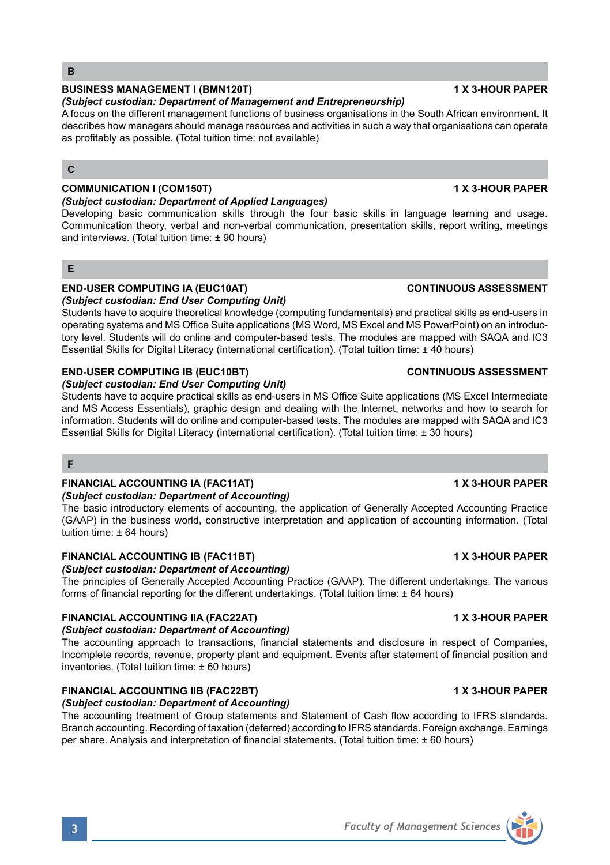### **BUSINESS MANAGEMENT I (BMN120T) 1 X 3-HOUR PAPER**

### *(Subject custodian: Department of Management and Entrepreneurship)*

A focus on the different management functions of business organisations in the South African environment. It describes how managers should manage resources and activities in such a way that organisations can operate as profitably as possible. (Total tuition time: not available)

### **C**

### **COMMUNICATION I (COM150T) 1 X 3-HOUR PAPER**

### *(Subject custodian: Department of Applied Languages)*

Developing basic communication skills through the four basic skills in language learning and usage. Communication theory, verbal and non-verbal communication, presentation skills, report writing, meetings and interviews. (Total tuition time: ± 90 hours)

### **E**

# **END-USER COMPUTING IA (EUC10AT) CONTINUOUS ASSESSMENT**

### *(Subject custodian: End User Computing Unit)*

Students have to acquire theoretical knowledge (computing fundamentals) and practical skills as end-users in operating systems and MS Office Suite applications (MS Word, MS Excel and MS PowerPoint) on an introductory level. Students will do online and computer-based tests. The modules are mapped with SAQA and IC3 Essential Skills for Digital Literacy (international certification). (Total tuition time: ± 40 hours)

### **END-USER COMPUTING IB (EUC10BT) CONTINUOUS ASSESSMENT**

### *(Subject custodian: End User Computing Unit)*

Students have to acquire practical skills as end-users in MS Office Suite applications (MS Excel Intermediate and MS Access Essentials), graphic design and dealing with the Internet, networks and how to search for information. Students will do online and computer-based tests. The modules are mapped with SAQA and IC3 Essential Skills for Digital Literacy (international certification). (Total tuition time: ± 30 hours)

### **F**

### **FINANCIAL ACCOUNTING IA (FAC11AT) 1 X 3-HOUR PAPER**

### *(Subject custodian: Department of Accounting)*

The basic introductory elements of accounting, the application of Generally Accepted Accounting Practice (GAAP) in the business world, constructive interpretation and application of accounting information. (Total tuition time: ± 64 hours)

### **FINANCIAL ACCOUNTING IB (FAC11BT) 1 X 3-HOUR PAPER**

# *(Subject custodian: Department of Accounting)*

The principles of Generally Accepted Accounting Practice (GAAP). The different undertakings. The various forms of financial reporting for the different undertakings. (Total tuition time:  $\pm 64$  hours)

# **FINANCIAL ACCOUNTING IIA (FAC22AT) 1 X 3-HOUR PAPER**

# *(Subject custodian: Department of Accounting)*

The accounting approach to transactions, financial statements and disclosure in respect of Companies, Incomplete records, revenue, property plant and equipment. Events after statement of financial position and inventories. (Total tuition time: ± 60 hours)

### **FINANCIAL ACCOUNTING IIB (FAC22BT) 1 X 3-HOUR PAPER**

### *(Subject custodian: Department of Accounting)*

The accounting treatment of Group statements and Statement of Cash flow according to IFRS standards. Branch accounting. Recording of taxation (deferred) according to IFRS standards. Foreign exchange. Earnings per share. Analysis and interpretation of financial statements. (Total tuition time: ± 60 hours)

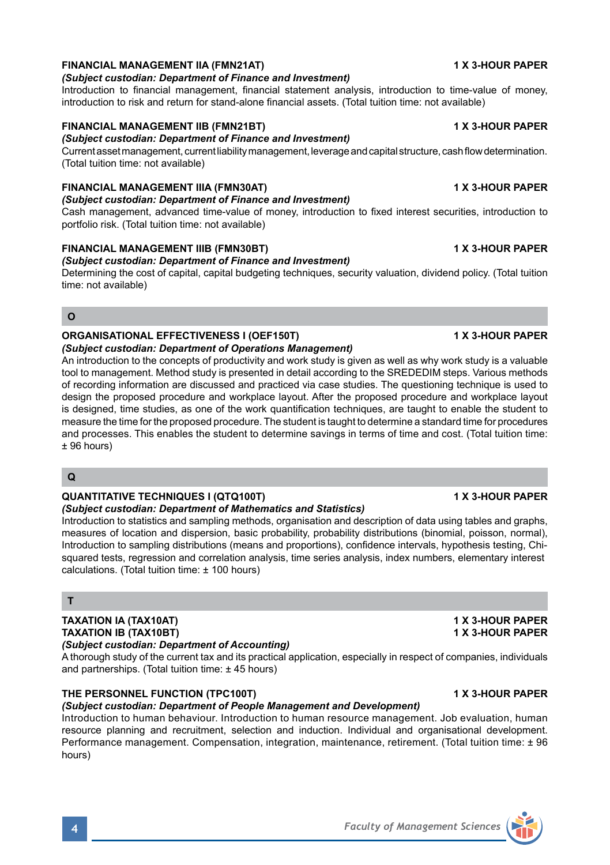# **FINANCIAL MANAGEMENT IIA (FMN21AT) 1 X 3-HOUR PAPER**

### *(Subject custodian: Department of Finance and Investment)*

Introduction to financial management, financial statement analysis, introduction to time-value of money, introduction to risk and return for stand-alone financial assets. (Total tuition time: not available)

### **FINANCIAL MANAGEMENT IIB (FMN21BT) 1 X 3-HOUR PAPER**

### *(Subject custodian: Department of Finance and Investment)*

Current asset management, current liability management, leverage and capital structure, cash flow determination. (Total tuition time: not available)

### **FINANCIAL MANAGEMENT IIIA (FMN30AT) 1 X 3-HOUR PAPER**

### *(Subject custodian: Department of Finance and Investment)*

Cash management, advanced time-value of money, introduction to fixed interest securities, introduction to portfolio risk. (Total tuition time: not available)

### **FINANCIAL MANAGEMENT IIIB (FMN30BT) 1 X 3-HOUR PAPER**

### *(Subject custodian: Department of Finance and Investment)*

Determining the cost of capital, capital budgeting techniques, security valuation, dividend policy. (Total tuition time: not available)

**O**

# **ORGANISATIONAL EFFECTIVENESS I (OEF150T) 1 X 3-HOUR PAPER**

### *(Subject custodian: Department of Operations Management)*

An introduction to the concepts of productivity and work study is given as well as why work study is a valuable tool to management. Method study is presented in detail according to the SREDEDIM steps. Various methods of recording information are discussed and practiced via case studies. The questioning technique is used to design the proposed procedure and workplace layout. After the proposed procedure and workplace layout is designed, time studies, as one of the work quantification techniques, are taught to enable the student to measure the time for the proposed procedure. The student is taught to determine a standard time for procedures and processes. This enables the student to determine savings in terms of time and cost. (Total tuition time: ± 96 hours)

### **Q**

### **QUANTITATIVE TECHNIQUES I (QTQ100T) 1 X 3-HOUR PAPER**

### *(Subject custodian: Department of Mathematics and Statistics)*

Introduction to statistics and sampling methods, organisation and description of data using tables and graphs, measures of location and dispersion, basic probability, probability distributions (binomial, poisson, normal), Introduction to sampling distributions (means and proportions), confidence intervals, hypothesis testing, Chisquared tests, regression and correlation analysis, time series analysis, index numbers, elementary interest calculations. (Total tuition time: ± 100 hours)

### **T**

# **TAXATION IA (TAX10AT) 1 X 3-HOUR PAPER TAXATION IB (TAX10BT)**

# *(Subject custodian: Department of Accounting)*

A thorough study of the current tax and its practical application, especially in respect of companies, individuals and partnerships. (Total tuition time: ± 45 hours)

## **THE PERSONNEL FUNCTION (TPC100T) 1 X 3-HOUR PAPER**

### *(Subject custodian: Department of People Management and Development)*

Introduction to human behaviour. Introduction to human resource management. Job evaluation, human resource planning and recruitment, selection and induction. Individual and organisational development. Performance management. Compensation, integration, maintenance, retirement. (Total tuition time: ± 96 hours)